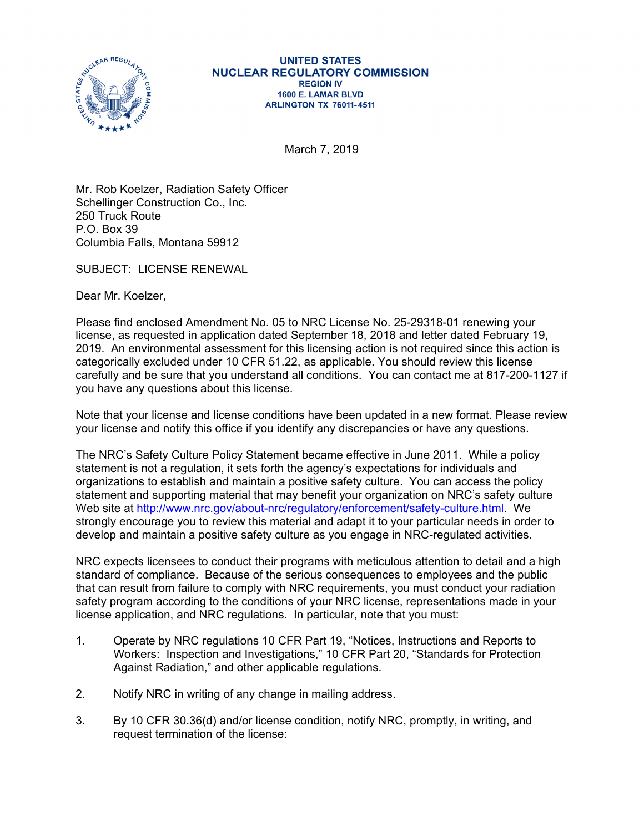

## **UNITED STATES NUCLEAR REGULATORY COMMISSION REGION IV** 1600 E. LAMAR BLVD **ARLINGTON TX 76011-4511**

March 7, 2019

Mr. Rob Koelzer, Radiation Safety Officer Schellinger Construction Co., Inc. 250 Truck Route P.O. Box 39 Columbia Falls, Montana 59912

SUBJECT: LICENSE RENEWAL

Dear Mr. Koelzer,

Please find enclosed Amendment No. 05 to NRC License No. 25-29318-01 renewing your license, as requested in application dated September 18, 2018 and letter dated February 19, 2019. An environmental assessment for this licensing action is not required since this action is categorically excluded under 10 CFR 51.22, as applicable. You should review this license carefully and be sure that you understand all conditions. You can contact me at 817-200-1127 if you have any questions about this license.

Note that your license and license conditions have been updated in a new format. Please review your license and notify this office if you identify any discrepancies or have any questions.

The NRC's Safety Culture Policy Statement became effective in June 2011. While a policy statement is not a regulation, it sets forth the agency's expectations for individuals and organizations to establish and maintain a positive safety culture. You can access the policy statement and supporting material that may benefit your organization on NRC's safety culture Web site at http://www.nrc.gov/about-nrc/regulatory/enforcement/safety-culture.html. We strongly encourage you to review this material and adapt it to your particular needs in order to develop and maintain a positive safety culture as you engage in NRC-regulated activities.

NRC expects licensees to conduct their programs with meticulous attention to detail and a high standard of compliance. Because of the serious consequences to employees and the public that can result from failure to comply with NRC requirements, you must conduct your radiation safety program according to the conditions of your NRC license, representations made in your license application, and NRC regulations. In particular, note that you must:

- 1. Operate by NRC regulations 10 CFR Part 19, "Notices, Instructions and Reports to Workers: Inspection and Investigations," 10 CFR Part 20, "Standards for Protection Against Radiation," and other applicable regulations.
- 2. Notify NRC in writing of any change in mailing address.
- 3. By 10 CFR 30.36(d) and/or license condition, notify NRC, promptly, in writing, and request termination of the license: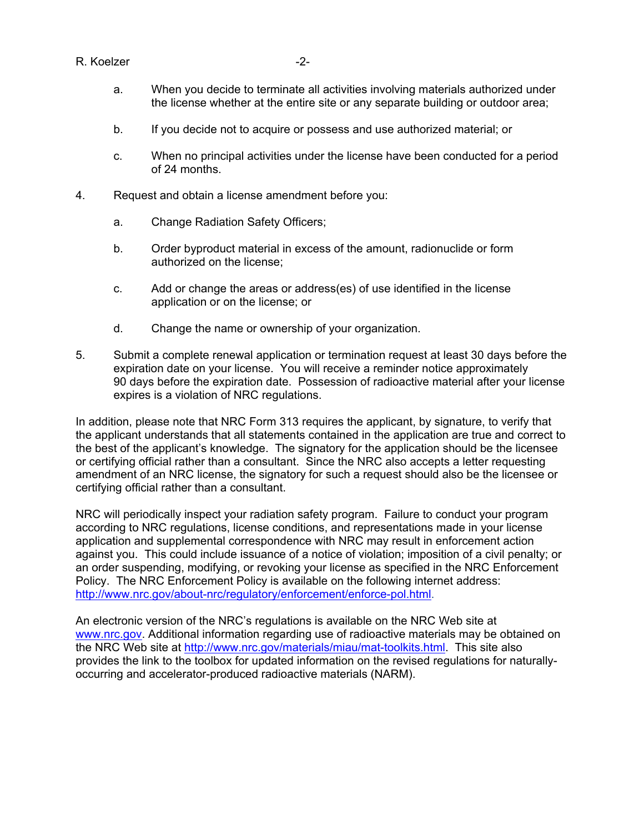## R. Koelzer -2-

- a. When you decide to terminate all activities involving materials authorized under the license whether at the entire site or any separate building or outdoor area;
- b. If you decide not to acquire or possess and use authorized material; or
- c. When no principal activities under the license have been conducted for a period of 24 months.
- 4. Request and obtain a license amendment before you:
	- a. Change Radiation Safety Officers;
	- b. Order byproduct material in excess of the amount, radionuclide or form authorized on the license;
	- c. Add or change the areas or address(es) of use identified in the license application or on the license; or
	- d. Change the name or ownership of your organization.
- 5. Submit a complete renewal application or termination request at least 30 days before the expiration date on your license. You will receive a reminder notice approximately 90 days before the expiration date. Possession of radioactive material after your license expires is a violation of NRC regulations.

In addition, please note that NRC Form 313 requires the applicant, by signature, to verify that the applicant understands that all statements contained in the application are true and correct to the best of the applicant's knowledge. The signatory for the application should be the licensee or certifying official rather than a consultant. Since the NRC also accepts a letter requesting amendment of an NRC license, the signatory for such a request should also be the licensee or certifying official rather than a consultant.

NRC will periodically inspect your radiation safety program. Failure to conduct your program according to NRC regulations, license conditions, and representations made in your license application and supplemental correspondence with NRC may result in enforcement action against you. This could include issuance of a notice of violation; imposition of a civil penalty; or an order suspending, modifying, or revoking your license as specified in the NRC Enforcement Policy. The NRC Enforcement Policy is available on the following internet address: http://www.nrc.gov/about-nrc/regulatory/enforcement/enforce-pol.html.

An electronic version of the NRC's regulations is available on the NRC Web site at www.nrc.gov. Additional information regarding use of radioactive materials may be obtained on the NRC Web site at http://www.nrc.gov/materials/miau/mat-toolkits.html. This site also provides the link to the toolbox for updated information on the revised regulations for naturallyoccurring and accelerator-produced radioactive materials (NARM).